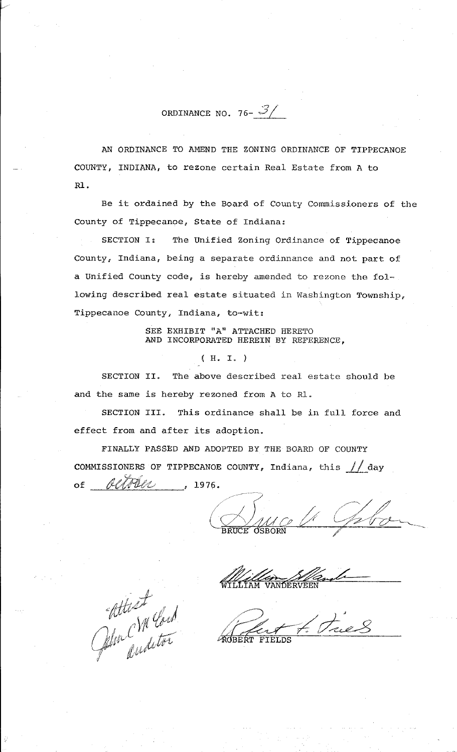ORDINANCE NO. 76-  $\mathcal{I}/$ 

AN ORDINANCE TO AMEND THE ZONING ORDINANCE OF TIPPECANOE COUNTY, INDIANA, to rezone certain Real Estate from A to Rl.

Be it ordained by the Board of County Commissioners of the County of Tippecanoe, State of Indiana:

SECTION I: The Unified Zoning Ordinance of Tippecanoe County, Indiana, being a separate ordinnance and not part of a Unified County code, is hereby amended to rezone the following described real estate situated in Washington Township, Tippecanoe County, Indiana, to-wit:

> SEE EXHIBIT "A" ATTACHED HERETO AND INCORPORATED HEREIN BY REFERENCE,

> > ( H. I. )

SECTION II. The above described real estate should be and the same is hereby rezoned from A to Rl.

SECTION III. This ordinance shall be in full force and effect from and after its adoption.

FINALLY PASSED AND ADOPTED BY THE BOARD OF COUNTY COMMISSIONERS OF TIPPECANOE COUNTY, Indiana, this  $//$  day of *tltZtP!iotJ* , 1976.

.<br>م *v* ~ //~/ /. / / J ; </'.~ */(* r-~d \_\_\_\_\_\_ \_ *l.\_\_..-'/V p-* !/ (\_/ . -----~---. /

WILLIAM VANDERVEEN William S/Camb

kfj/:~. ! 1 *{//, ·: Vfi 0-£111*  altest und Contract Parties . and '

..... */')* , */;--·---*/ /- ,,.· / *\_)\_* ,, *<sup>0</sup>*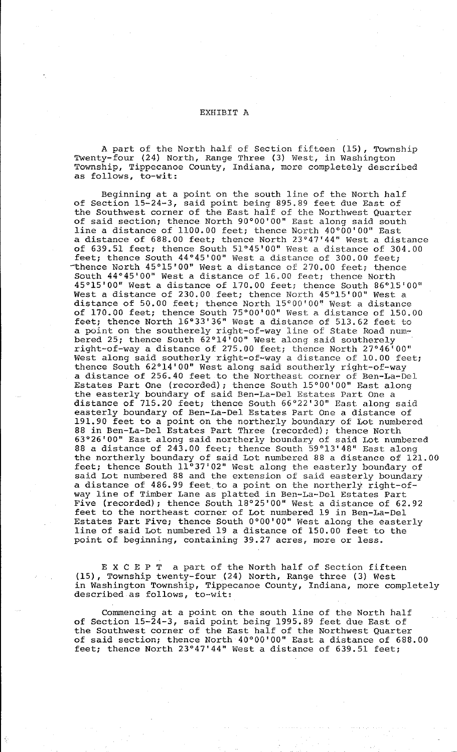## EXHIBIT A

A part of the North half of Section fifteen (15), Township Twenty-four (24) North, Range Three (3) West, in Washington Township, Tippecanoe County, Indiana, more completely described as follows, to-wit:

Beginning at a point on the south line of the North half of Section 15-24-3, said point being 895.89 feet due East of the Southwest corner of the East half of the Northwest Quarter of said section; thence North 90°00'00" East along said south line a distance of 1100.00 feet; thence North 40°00'00" East a distance of 688.00 feet; thence North 23°47'44" West a distance of 639.51 feet; thence South 51°45'00" West a distance of 304.00 feet; thence South 44°45'00" West a distance of 300.00 feet; -thence North 45°15'00" West a distance of 270.00 feet; thence South 44°45'00" West a distance of 16.00 feet; thence North 45°15'00" West a distance of 170.00 feet; thence South 86°15'00" West a distance of 230.00 feet; thence North 45°15'00'' West a distance of 50.00 feet; thence North 15°00'00" West a distance of 170.00 feet; thence South 75°00'00" West a distance of 150.00 feet; thence North 16°33'36" West a distance of 513.62 feet to a point on the southerely right-of-way line of State Road numbered 25; thence South 62°14'00" West along said southerely right-of-way a distance of 275.00 feet; thence North 27°46'00" West along said southerly right-of-way a distance of 10.00 feet; thence South 62°14'00" West along said southerly right-of-way a distance of 256.40 feet to the Northeast corner of Ben-La-Del Estates Part One (recorded); thence South 15°00'00" East along the easterly boundary of said Ben-La-Del Estates Part One a distance of 715.20 feet; thence South 66°22'30" East along said easterly boundary of Ben-La-Del Estates Part One a distance of 191.90 feet to a point on the northerly boundary of Lot numbered 88 *in* Ben-La-Del Estates Part Three (recorded); thence North 63°26'00" East along said northerly boundary of said Lot numbered 88 a distance of 243.00 feet; thence South 59°13'48" East along the northerly boundary of said Lot numbered 88 a distance of 121.00 feet; thence South 11°37'02" West along the easterly boundary of said Lot numbered 88 and the extension of said easterly boundary a distance of 486.99 feet to a point on the northerly right-ofway line of Timber Lane as platted *in* Ben-La-Del Estates Part Five (recorded); thence South 18°25'00" West a distance of 62.92 feet to the northeast corner of Lot numbered 19 in Ben-La-Del Estates Part Five; thence South 0°00'00" West along the easterly line of said Lot numbered 19 a distance of 150.00 feet to the point of beginning, containing 39.27 acres, more or less.

E X C E P T a part of the North half of Section fifteen (15), Township twenty-four (24) North, Range three (3) West in Washington Township, Tippecanoe County, Indiana, more completely described as follows, to-wit:

Commencing at a point on the south line of the North half of Section 15-24-3, said point being 1995.89 feet due East of the Southwest corner of the East half of the Northwest Quarter of said section; thence North 40°00'00" East a distance of 688.00 feet; thence North 23°47'44" West a distance of 639.51 feet;